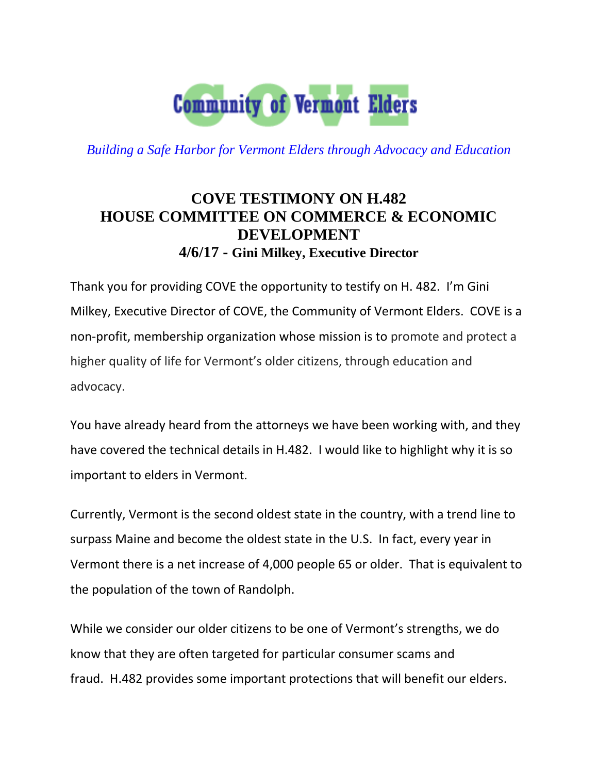

*Building a Safe Harbor for Vermont Elders through Advocacy and Education*

## **COVE TESTIMONY ON H.482 HOUSE COMMITTEE ON COMMERCE & ECONOMIC DEVELOPMENT 4/6/17 - Gini Milkey, Executive Director**

Thank you for providing COVE the opportunity to testify on H. 482. I'm Gini Milkey, Executive Director of COVE, the Community of Vermont Elders. COVE is a non-profit, membership organization whose mission is to promote and protect a higher quality of life for Vermont's older citizens, through education and advocacy.

You have already heard from the attorneys we have been working with, and they have covered the technical details in H.482. I would like to highlight why it is so important to elders in Vermont.

Currently, Vermont is the second oldest state in the country, with a trend line to surpass Maine and become the oldest state in the U.S. In fact, every year in Vermont there is a net increase of 4,000 people 65 or older. That is equivalent to the population of the town of Randolph.

While we consider our older citizens to be one of Vermont's strengths, we do know that they are often targeted for particular consumer scams and fraud. H.482 provides some important protections that will benefit our elders.